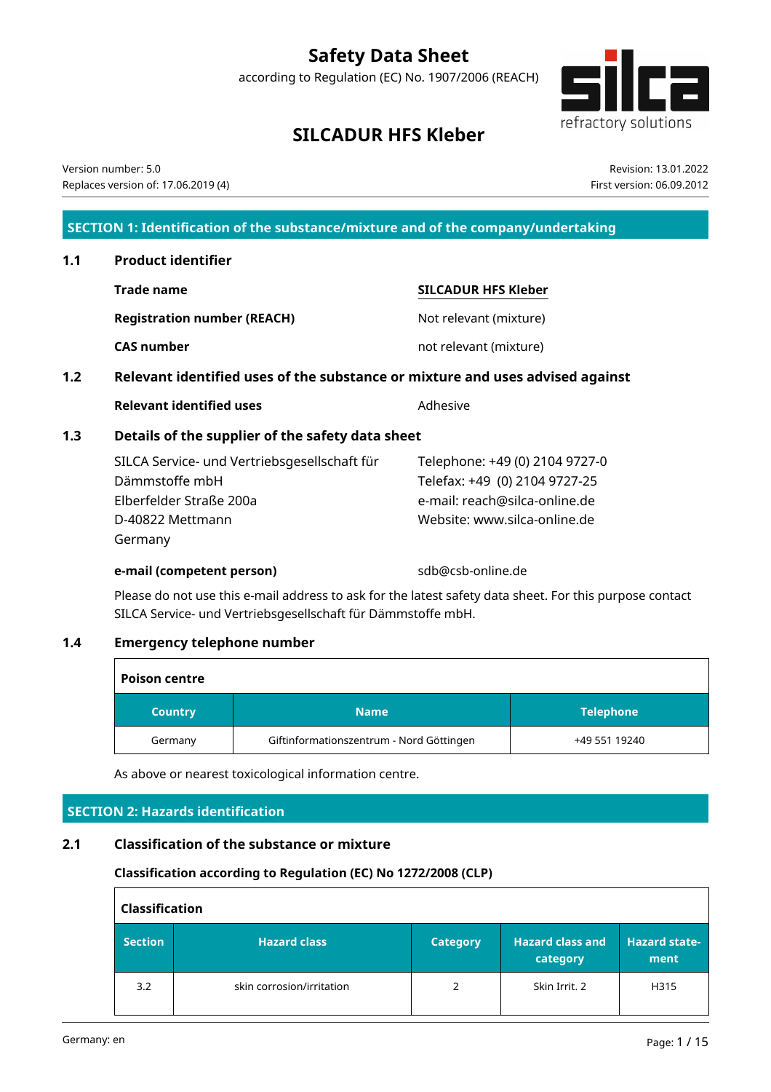# **Safety Data Sheet**

according to Regulation (EC) No. 1907/2006 (REACH)



Revision: 13.01.2022 First version: 06.09.2012

# **SILCADUR HFS Kleber**

Version number: 5.0 Replaces version of: 17.06.2019 (4)

**SECTION 1: Identification of the substance/mixture and of the company/undertaking**

- **1.1 Product identifier Trade name SILCADUR HFS Kleber Registration number (REACH)** Not relevant (mixture) **CAS number** not relevant (mixture)
- **1.2 Relevant identified uses of the substance or mixture and uses advised against**

**Relevant identified uses** Manual Community Adhesive

## **1.3 Details of the supplier of the safety data sheet**

SILCA Service- und Vertriebsgesellschaft für Dämmstoffe mbH Elberfelder Straße 200a D-40822 Mettmann Germany

**e-mail (competent person)** sdb@csb-online.de

Telephone: +49 (0) 2104 9727-0 Telefax: +49 (0) 2104 9727-25 e-mail: reach@silca-online.de Website: www.silca-online.de

Please do not use this e-mail address to ask for the latest safety data sheet. For this purpose contact SILCA Service- und Vertriebsgesellschaft für Dämmstoffe mbH.

## **1.4 Emergency telephone number**

| <b>Poison centre</b> |                                          |                  |  |  |  |  |
|----------------------|------------------------------------------|------------------|--|--|--|--|
| <b>Country</b>       | <b>Name</b>                              | <b>Telephone</b> |  |  |  |  |
| Germany              | Giftinformationszentrum - Nord Göttingen | +49 551 19240    |  |  |  |  |

As above or nearest toxicological information centre.

## **SECTION 2: Hazards identification**

## **2.1 Classification of the substance or mixture**

## **Classification according to Regulation (EC) No 1272/2008 (CLP)**

|                | <b>Classification</b>     |                 |                                     |                              |  |  |  |  |
|----------------|---------------------------|-----------------|-------------------------------------|------------------------------|--|--|--|--|
| <b>Section</b> | <b>Hazard class</b>       | <b>Category</b> | <b>Hazard class and</b><br>category | <b>Hazard state-</b><br>ment |  |  |  |  |
| 3.2            | skin corrosion/irritation | 2               | Skin Irrit. 2                       | H315                         |  |  |  |  |

 $\mathsf{r}$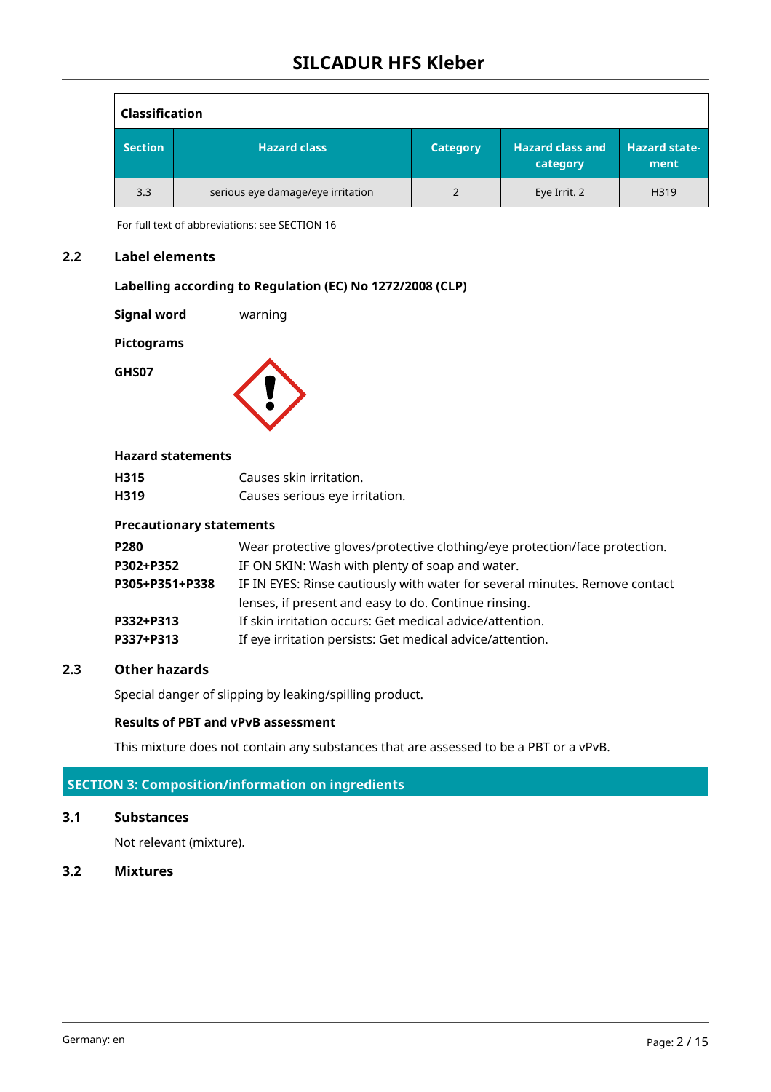| <b>Classification</b> |                                   |                 |                                     |                                |
|-----------------------|-----------------------------------|-----------------|-------------------------------------|--------------------------------|
| <b>Section</b>        | <b>Hazard class</b>               | <b>Category</b> | <b>Hazard class and</b><br>category | <b>Hazard state-</b><br>ment / |
| 3.3                   | serious eye damage/eye irritation | 2               | Eye Irrit. 2                        | H319                           |

For full text of abbreviations: see SECTION 16

## **2.2 Label elements**

## **Labelling according to Regulation (EC) No 1272/2008 (CLP)**

**Signal word** warning

**Pictograms**

**GHS07**



#### **Hazard statements**

| H315 | Causes skin irritation.        |
|------|--------------------------------|
| H319 | Causes serious eye irritation. |

#### **Precautionary statements**

| Wear protective gloves/protective clothing/eye protection/face protection.  |
|-----------------------------------------------------------------------------|
| IF ON SKIN: Wash with plenty of soap and water.                             |
| IF IN EYES: Rinse cautiously with water for several minutes. Remove contact |
| lenses, if present and easy to do. Continue rinsing.                        |
| If skin irritation occurs: Get medical advice/attention.                    |
| If eye irritation persists: Get medical advice/attention.                   |
|                                                                             |

#### **2.3 Other hazards**

Special danger of slipping by leaking/spilling product.

## **Results of PBT and vPvB assessment**

This mixture does not contain any substances that are assessed to be a PBT or a vPvB.

## **SECTION 3: Composition/information on ingredients**

## **3.1 Substances**

Not relevant (mixture).

#### **3.2 Mixtures**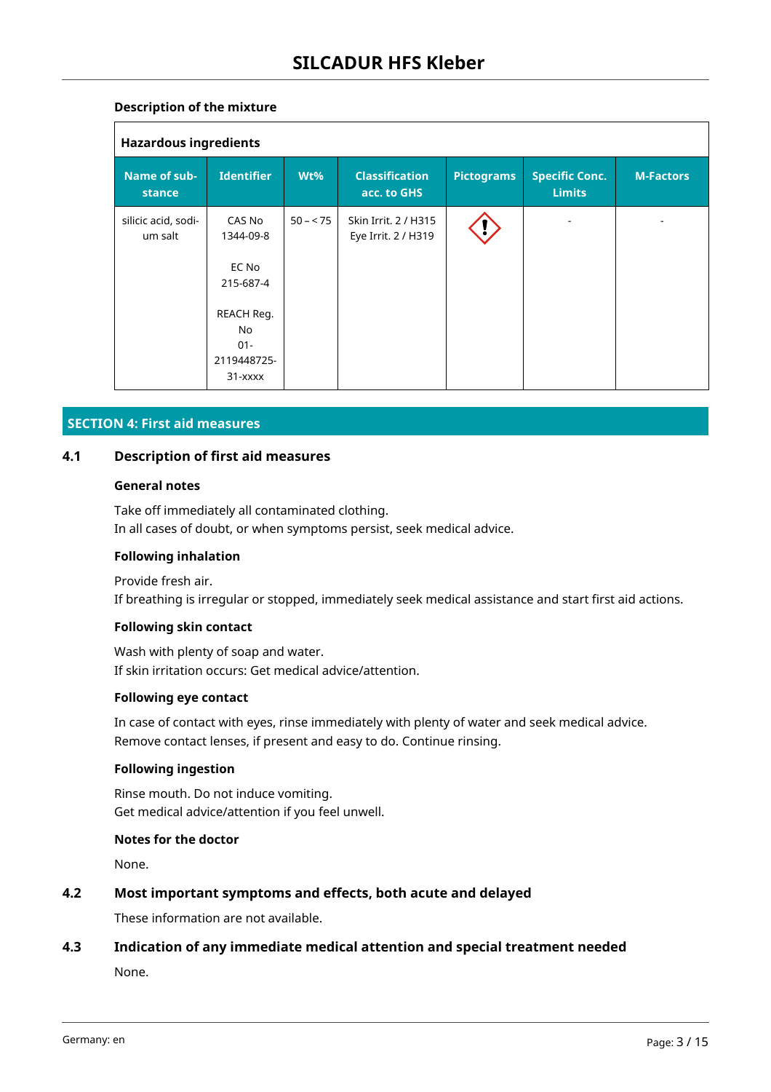## **Description of the mixture**

| <b>Hazardous ingredients</b>   |                                                                                                   |           |                                             |                   |                                        |                  |  |  |
|--------------------------------|---------------------------------------------------------------------------------------------------|-----------|---------------------------------------------|-------------------|----------------------------------------|------------------|--|--|
| Name of sub-<br>stance         | <b>Identifier</b>                                                                                 | Wt%       | <b>Classification</b><br>acc. to GHS        | <b>Pictograms</b> | <b>Specific Conc.</b><br><b>Limits</b> | <b>M-Factors</b> |  |  |
| silicic acid, sodi-<br>um salt | CAS No<br>1344-09-8<br>EC No<br>215-687-4<br>REACH Reg.<br>No<br>$01 -$<br>2119448725-<br>31-xxxx | $50 - 75$ | Skin Irrit. 2 / H315<br>Eye Irrit. 2 / H319 |                   |                                        |                  |  |  |

## **SECTION 4: First aid measures**

## **4.1 Description of first aid measures**

#### **General notes**

Take off immediately all contaminated clothing. In all cases of doubt, or when symptoms persist, seek medical advice.

#### **Following inhalation**

Provide fresh air. If breathing is irregular or stopped, immediately seek medical assistance and start first aid actions.

#### **Following skin contact**

Wash with plenty of soap and water. If skin irritation occurs: Get medical advice/attention.

#### **Following eye contact**

In case of contact with eyes, rinse immediately with plenty of water and seek medical advice. Remove contact lenses, if present and easy to do. Continue rinsing.

#### **Following ingestion**

Rinse mouth. Do not induce vomiting. Get medical advice/attention if you feel unwell.

#### **Notes for the doctor**

None.

## **4.2 Most important symptoms and effects, both acute and delayed**

These information are not available.

## **4.3 Indication of any immediate medical attention and special treatment needed**

None.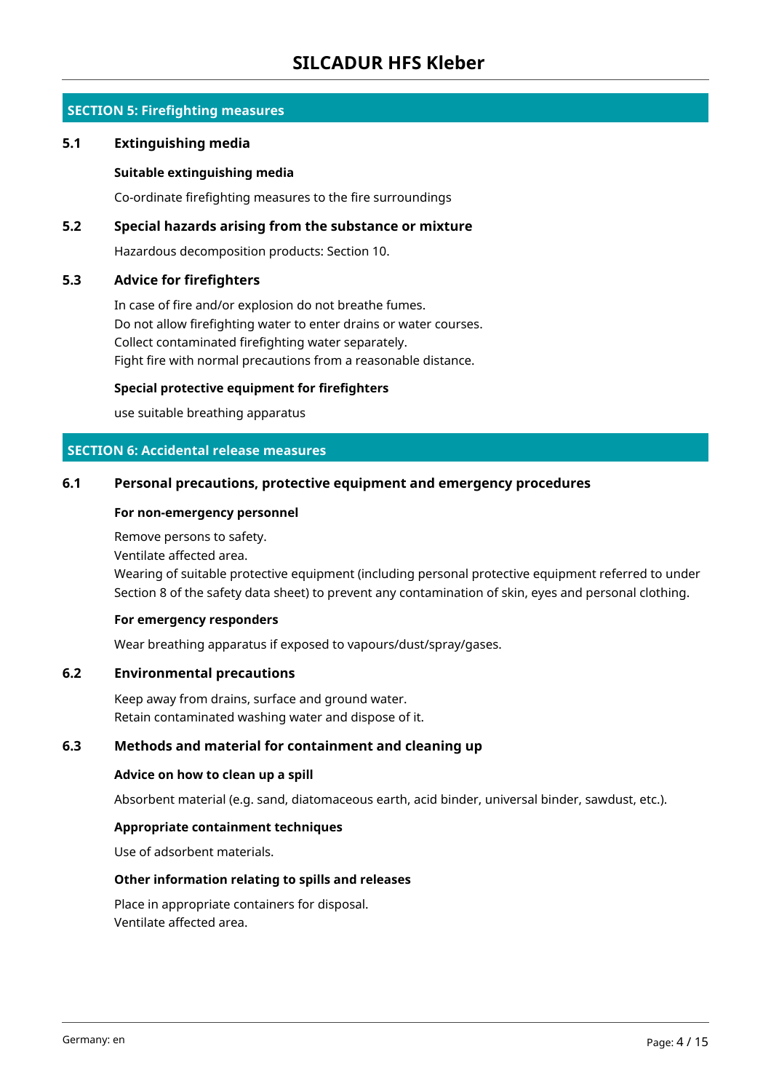## **SILCADUR HFS Kleber**

## **SECTION 5: Firefighting measures**

#### **5.1 Extinguishing media**

#### **Suitable extinguishing media**

Co-ordinate firefighting measures to the fire surroundings

#### **5.2 Special hazards arising from the substance or mixture**

Hazardous decomposition products: Section 10.

#### **5.3 Advice for firefighters**

In case of fire and/or explosion do not breathe fumes. Do not allow firefighting water to enter drains or water courses. Collect contaminated firefighting water separately. Fight fire with normal precautions from a reasonable distance.

#### **Special protective equipment for firefighters**

use suitable breathing apparatus

## **SECTION 6: Accidental release measures**

#### **6.1 Personal precautions, protective equipment and emergency procedures**

#### **For non-emergency personnel**

Remove persons to safety.

Ventilate affected area.

Wearing of suitable protective equipment (including personal protective equipment referred to under Section 8 of the safety data sheet) to prevent any contamination of skin, eyes and personal clothing.

#### **For emergency responders**

Wear breathing apparatus if exposed to vapours/dust/spray/gases.

#### **6.2 Environmental precautions**

Keep away from drains, surface and ground water. Retain contaminated washing water and dispose of it.

## **6.3 Methods and material for containment and cleaning up**

#### **Advice on how to clean up a spill**

Absorbent material (e.g. sand, diatomaceous earth, acid binder, universal binder, sawdust, etc.).

#### **Appropriate containment techniques**

Use of adsorbent materials.

#### **Other information relating to spills and releases**

Place in appropriate containers for disposal. Ventilate affected area.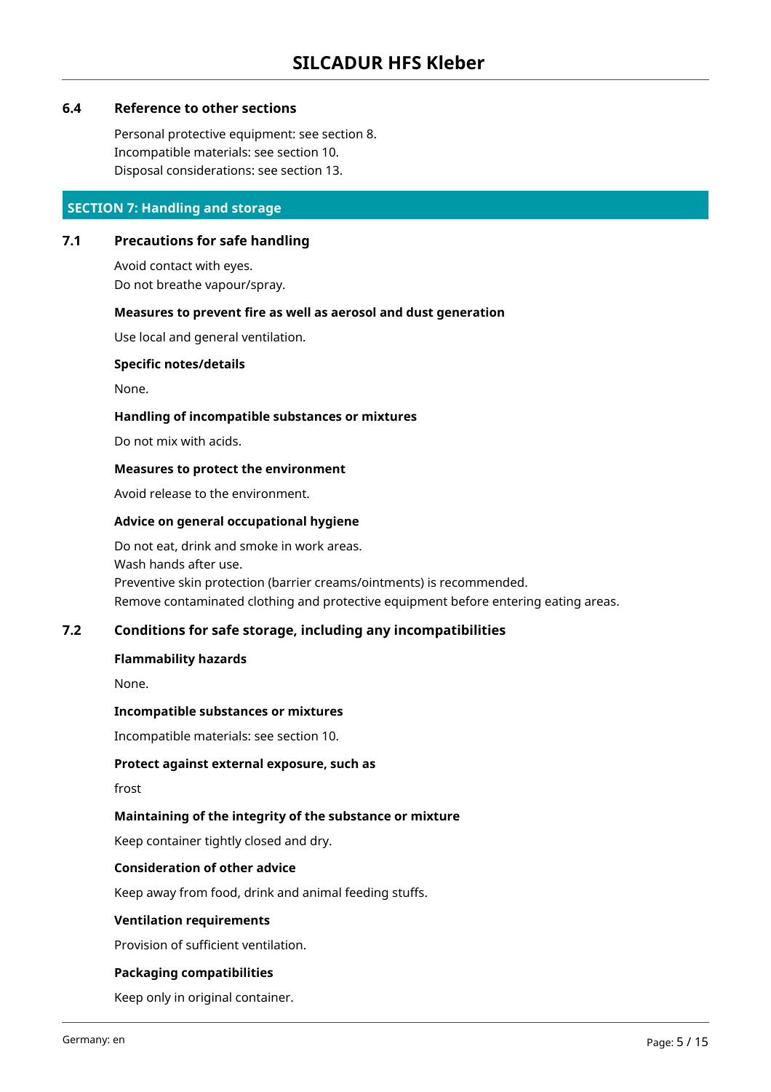## **6.4 Reference to other sections**

Personal protective equipment: see section 8. Incompatible materials: see section 10. Disposal considerations: see section 13.

## **SECTION 7: Handling and storage**

## **7.1 Precautions for safe handling**

Avoid contact with eyes. Do not breathe vapour/spray.

#### **Measures to prevent fire as well as aerosol and dust generation**

Use local and general ventilation.

#### **Specific notes/details**

None.

#### **Handling of incompatible substances or mixtures**

Do not mix with acids.

#### **Measures to protect the environment**

Avoid release to the environment.

#### **Advice on general occupational hygiene**

Do not eat, drink and smoke in work areas. Wash hands after use. Preventive skin protection (barrier creams/ointments) is recommended. Remove contaminated clothing and protective equipment before entering eating areas.

#### **7.2 Conditions for safe storage, including any incompatibilities**

#### **Flammability hazards**

None.

#### **Incompatible substances or mixtures**

Incompatible materials: see section 10.

#### **Protect against external exposure, such as**

frost

#### **Maintaining of the integrity of the substance or mixture**

Keep container tightly closed and dry.

#### **Consideration of other advice**

Keep away from food, drink and animal feeding stuffs.

#### **Ventilation requirements**

Provision of sufficient ventilation.

#### **Packaging compatibilities**

Keep only in original container.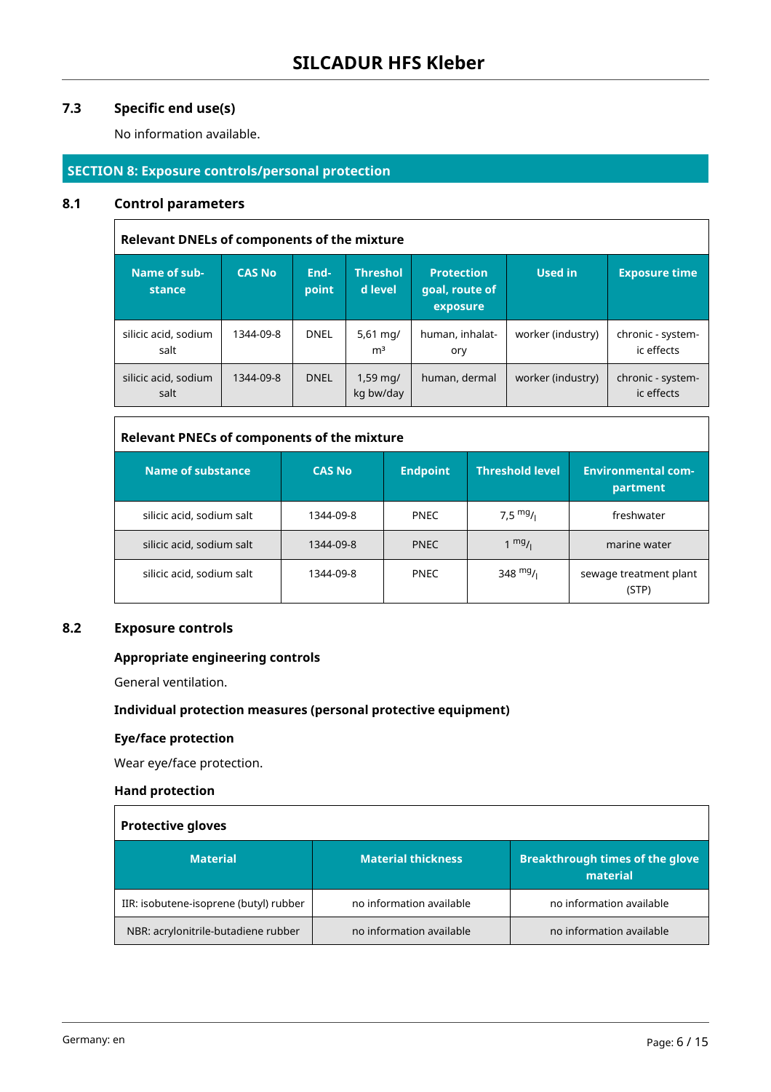## **7.3 Specific end use(s)**

No information available.

## **SECTION 8: Exposure controls/personal protection**

#### **8.1 Control parameters**

 $\blacksquare$ 

| <b>Relevant DNELs of components of the mixture</b> |               |               |                                   |                                                 |                   |                                 |  |  |  |
|----------------------------------------------------|---------------|---------------|-----------------------------------|-------------------------------------------------|-------------------|---------------------------------|--|--|--|
| Name of sub-<br>stance                             | <b>CAS No</b> | End-<br>point | <b>Threshol</b><br>d level        | <b>Protection</b><br>goal, route of<br>exposure | Used in           | <b>Exposure time</b>            |  |  |  |
| silicic acid, sodium<br>salt                       | 1344-09-8     | <b>DNEL</b>   | 5,61 $mq/$<br>m <sup>3</sup>      | human, inhalat-<br>ory                          | worker (industry) | chronic - system-<br>ic effects |  |  |  |
| silicic acid, sodium<br>salt                       | 1344-09-8     | <b>DNEL</b>   | $1,59 \,\mathrm{mq}$<br>kg bw/day | human, dermal                                   | worker (industry) | chronic - system-<br>ic effects |  |  |  |

## **Relevant PNECs of components of the mixture**

| <b>Name of substance</b>  | <b>CAS No</b> | <b>Endpoint</b> | <b>Threshold level</b> | <b>Environmental com-</b><br>partment |
|---------------------------|---------------|-----------------|------------------------|---------------------------------------|
| silicic acid, sodium salt | 1344-09-8     | <b>PNEC</b>     | 7,5 $mg/1$             | freshwater                            |
| silicic acid, sodium salt | 1344-09-8     | <b>PNEC</b>     | $1 \frac{mg}{l}$       | marine water                          |
| silicic acid, sodium salt | 1344-09-8     | <b>PNEC</b>     | 348 $mg/$              | sewage treatment plant<br>(STP)       |

#### **8.2 Exposure controls**

## **Appropriate engineering controls**

General ventilation.

#### **Individual protection measures (personal protective equipment)**

## **Eye/face protection**

Wear eye/face protection.

## **Hand protection**

| <b>Protective gloves</b>               |                           |                                                    |  |  |  |
|----------------------------------------|---------------------------|----------------------------------------------------|--|--|--|
| <b>Material</b>                        | <b>Material thickness</b> | <b>Breakthrough times of the glove</b><br>material |  |  |  |
| IIR: isobutene-isoprene (butyl) rubber | no information available  | no information available                           |  |  |  |
| NBR: acrylonitrile-butadiene rubber    | no information available  | no information available                           |  |  |  |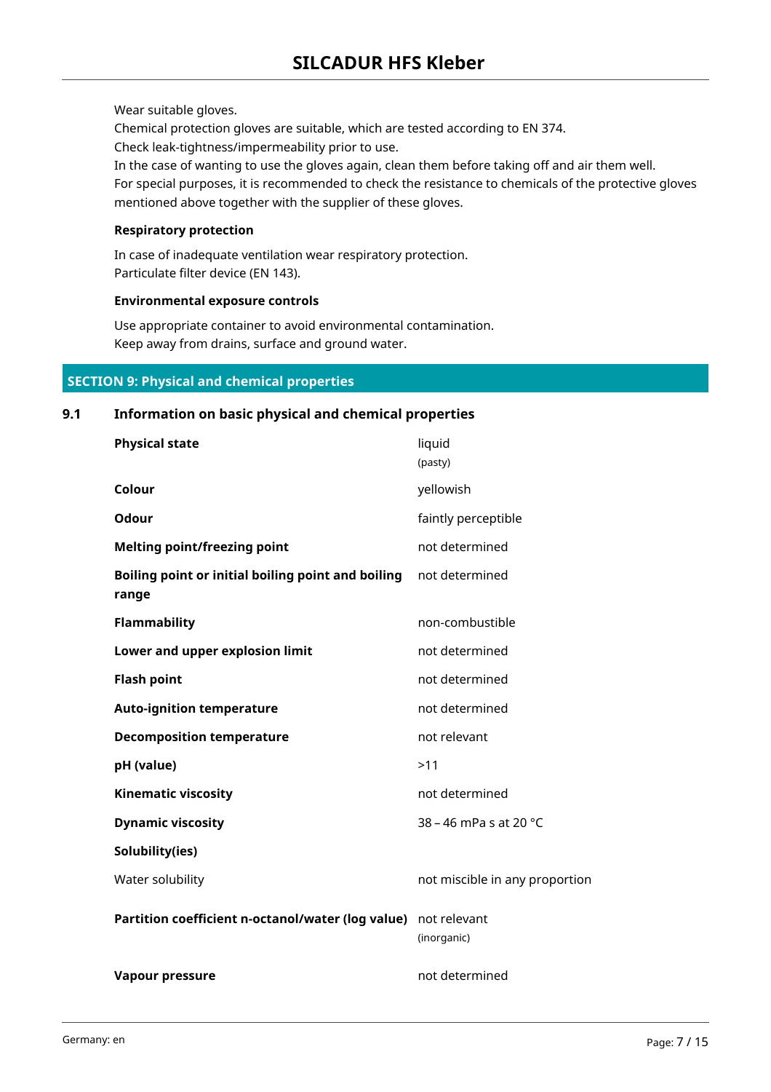Wear suitable gloves.

Chemical protection gloves are suitable, which are tested according to EN 374. Check leak-tightness/impermeability prior to use.

In the case of wanting to use the gloves again, clean them before taking off and air them well.

For special purposes, it is recommended to check the resistance to chemicals of the protective gloves mentioned above together with the supplier of these gloves.

#### **Respiratory protection**

In case of inadequate ventilation wear respiratory protection. Particulate filter device (EN 143).

#### **Environmental exposure controls**

Use appropriate container to avoid environmental contamination. Keep away from drains, surface and ground water.

#### **SECTION 9: Physical and chemical properties**

# **Physical state** liquid (pasty) **Colour** yellowish **Odour Odour faintly perceptible Melting point/freezing point** not determined **Boiling point or initial boiling point and boiling range** not determined **Flammability non-combustible Lower and upper explosion limit** not determined **Flash point not determined Auto-ignition temperature** not determined **Decomposition temperature** not relevant **pH (value)** >11 **Kinematic viscosity not determined Dynamic viscosity 38** – 46 mPa s at 20 °C **Solubility(ies)** Water solubility not miscible in any proportion **Partition coefficient n-octanol/water (log value)** not relevant (inorganic) **Vapour pressure** not determined

**9.1 Information on basic physical and chemical properties**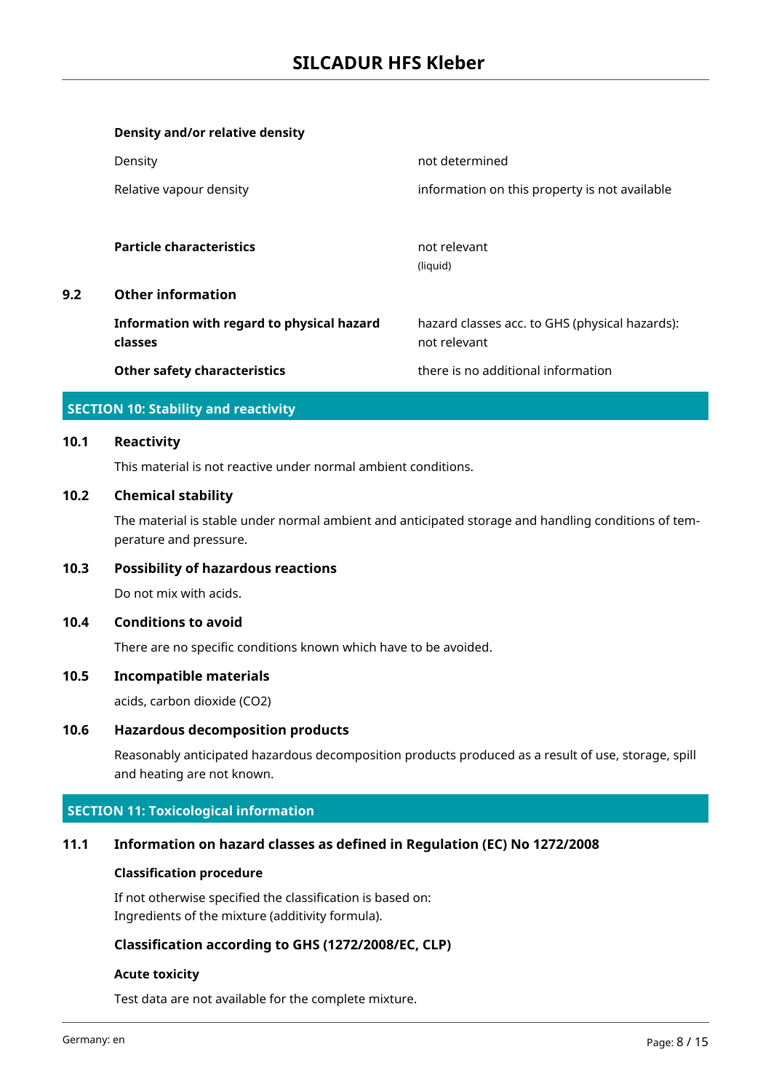|     | Density and/or relative density            |                                                |
|-----|--------------------------------------------|------------------------------------------------|
|     | Density                                    | not determined                                 |
|     | Relative vapour density                    | information on this property is not available  |
|     |                                            |                                                |
|     | <b>Particle characteristics</b>            | not relevant                                   |
|     |                                            | (liquid)                                       |
| 9.2 | <b>Other information</b>                   |                                                |
|     | Information with regard to physical hazard | hazard classes acc. to GHS (physical hazards): |
|     | classes                                    | not relevant                                   |
|     | <b>Other safety characteristics</b>        | there is no additional information             |

## **SECTION 10: Stability and reactivity**

#### **10.1 Reactivity**

This material is not reactive under normal ambient conditions.

#### **10.2 Chemical stability**

The material is stable under normal ambient and anticipated storage and handling conditions of temperature and pressure.

#### **10.3 Possibility of hazardous reactions**

Do not mix with acids.

#### **10.4 Conditions to avoid**

There are no specific conditions known which have to be avoided.

#### **10.5 Incompatible materials**

acids, carbon dioxide (CO2)

## **10.6 Hazardous decomposition products**

Reasonably anticipated hazardous decomposition products produced as a result of use, storage, spill and heating are not known.

#### **SECTION 11: Toxicological information**

#### **11.1 Information on hazard classes as defined in Regulation (EC) No 1272/2008**

#### **Classification procedure**

If not otherwise specified the classification is based on: Ingredients of the mixture (additivity formula).

## **Classification according to GHS (1272/2008/EC, CLP)**

#### **Acute toxicity**

Test data are not available for the complete mixture.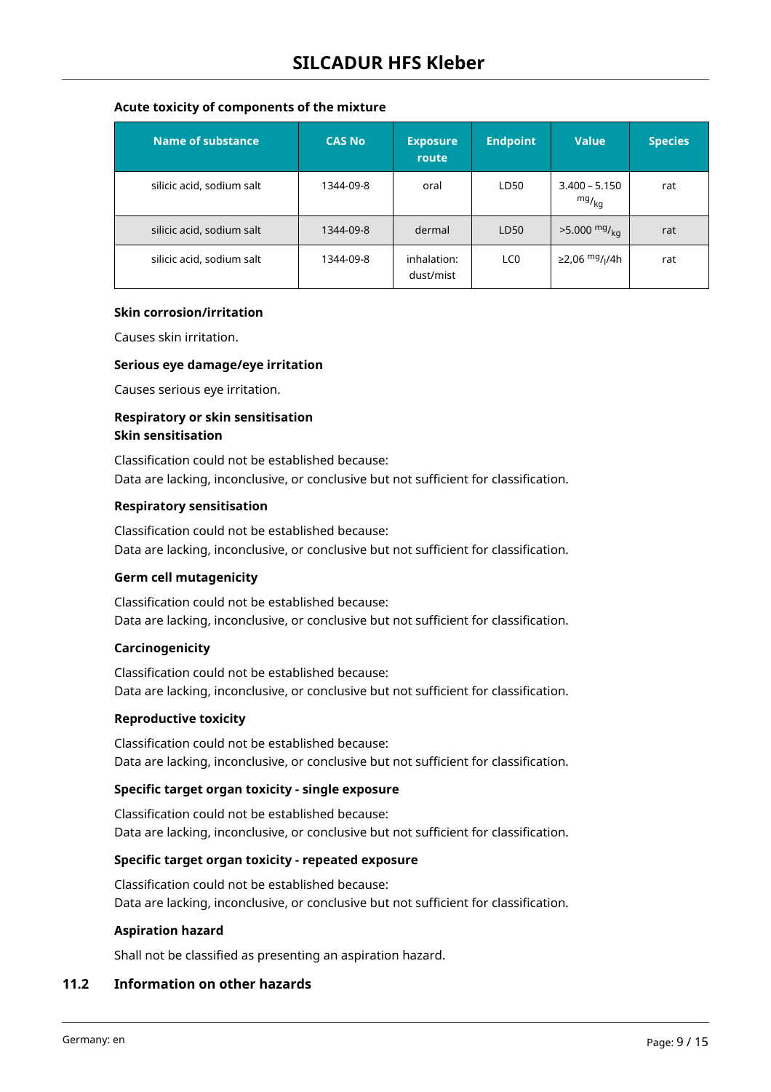## **Acute toxicity of components of the mixture**

| Name of substance         | <b>CAS No</b> | <b>Exposure</b><br>route | <b>Endpoint</b> | <b>Value</b>                           | <b>Species</b> |
|---------------------------|---------------|--------------------------|-----------------|----------------------------------------|----------------|
| silicic acid, sodium salt | 1344-09-8     | oral                     | LD50            | $3.400 - 5.150$<br>$mg/_{kq}$          | rat            |
| silicic acid, sodium salt | 1344-09-8     | dermal                   | LD50            | $>5.000 \frac{mg}{kg}$                 | rat            |
| silicic acid, sodium salt | 1344-09-8     | inhalation:<br>dust/mist | LC <sub>0</sub> | ≥2,06 <sup>mg</sup> / <sub>l</sub> /4h | rat            |

#### **Skin corrosion/irritation**

Causes skin irritation.

#### **Serious eye damage/eye irritation**

Causes serious eye irritation.

## **Respiratory or skin sensitisation Skin sensitisation**

Classification could not be established because: Data are lacking, inconclusive, or conclusive but not sufficient for classification.

#### **Respiratory sensitisation**

Classification could not be established because: Data are lacking, inconclusive, or conclusive but not sufficient for classification.

#### **Germ cell mutagenicity**

Classification could not be established because: Data are lacking, inconclusive, or conclusive but not sufficient for classification.

#### **Carcinogenicity**

Classification could not be established because: Data are lacking, inconclusive, or conclusive but not sufficient for classification.

#### **Reproductive toxicity**

Classification could not be established because: Data are lacking, inconclusive, or conclusive but not sufficient for classification.

#### **Specific target organ toxicity - single exposure**

Classification could not be established because: Data are lacking, inconclusive, or conclusive but not sufficient for classification.

#### **Specific target organ toxicity - repeated exposure**

Classification could not be established because: Data are lacking, inconclusive, or conclusive but not sufficient for classification.

#### **Aspiration hazard**

Shall not be classified as presenting an aspiration hazard.

## **11.2 Information on other hazards**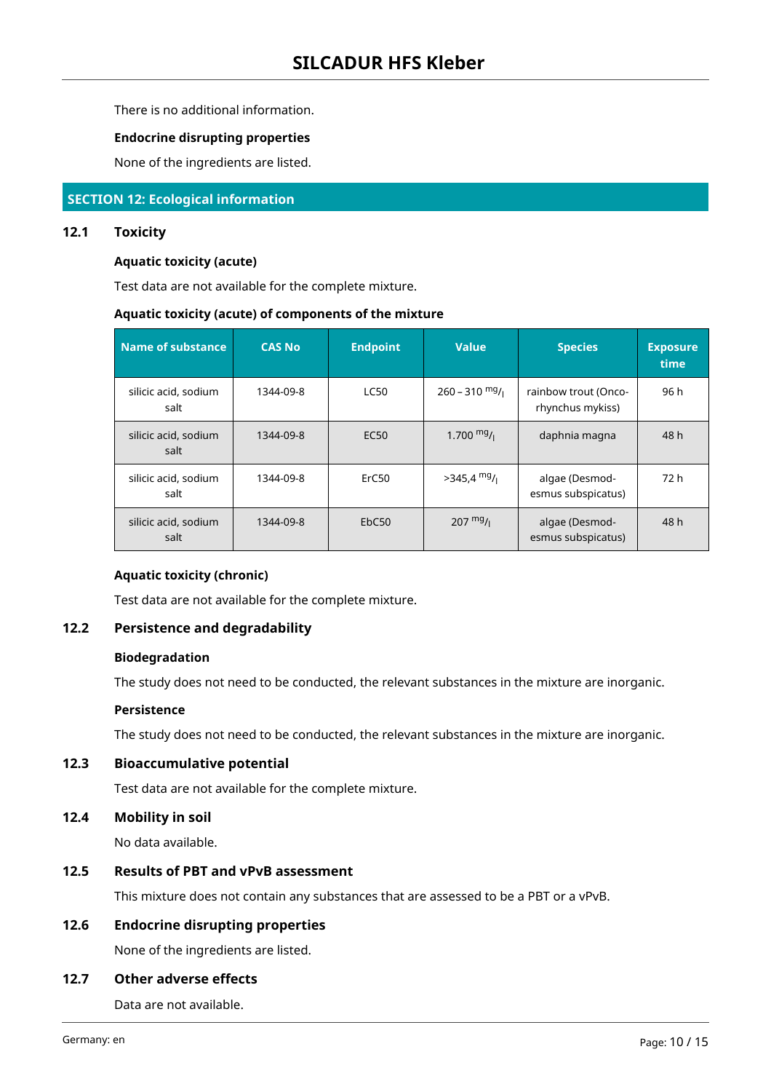There is no additional information.

#### **Endocrine disrupting properties**

None of the ingredients are listed.

#### **SECTION 12: Ecological information**

#### **12.1 Toxicity**

#### **Aquatic toxicity (acute)**

Test data are not available for the complete mixture.

#### **Aquatic toxicity (acute) of components of the mixture**

| Name of substance            | <b>CAS No</b> | <b>Endpoint</b>   | <b>Value</b>       | <b>Species</b>                           | <b>Exposure</b><br>time |
|------------------------------|---------------|-------------------|--------------------|------------------------------------------|-------------------------|
| silicic acid, sodium<br>salt | 1344-09-8     | <b>LC50</b>       | $260 - 310$ mg/    | rainbow trout (Onco-<br>rhynchus mykiss) | 96 h                    |
| silicic acid, sodium<br>salt | 1344-09-8     | EC <sub>50</sub>  | 1.700 $mg/$        | daphnia magna                            | 48 h                    |
| silicic acid, sodium<br>salt | 1344-09-8     | ErC <sub>50</sub> | $>345,4$ mg/       | algae (Desmod-<br>esmus subspicatus)     | 72 h                    |
| silicic acid, sodium<br>salt | 1344-09-8     | EbC50             | $207 \frac{mg}{l}$ | algae (Desmod-<br>esmus subspicatus)     | 48 h                    |

## **Aquatic toxicity (chronic)**

Test data are not available for the complete mixture.

#### **12.2 Persistence and degradability**

## **Biodegradation**

The study does not need to be conducted, the relevant substances in the mixture are inorganic.

#### **Persistence**

The study does not need to be conducted, the relevant substances in the mixture are inorganic.

## **12.3 Bioaccumulative potential**

Test data are not available for the complete mixture.

## **12.4 Mobility in soil**

No data available.

#### **12.5 Results of PBT and vPvB assessment**

This mixture does not contain any substances that are assessed to be a PBT or a vPvB.

#### **12.6 Endocrine disrupting properties**

None of the ingredients are listed.

#### **12.7 Other adverse effects**

Data are not available.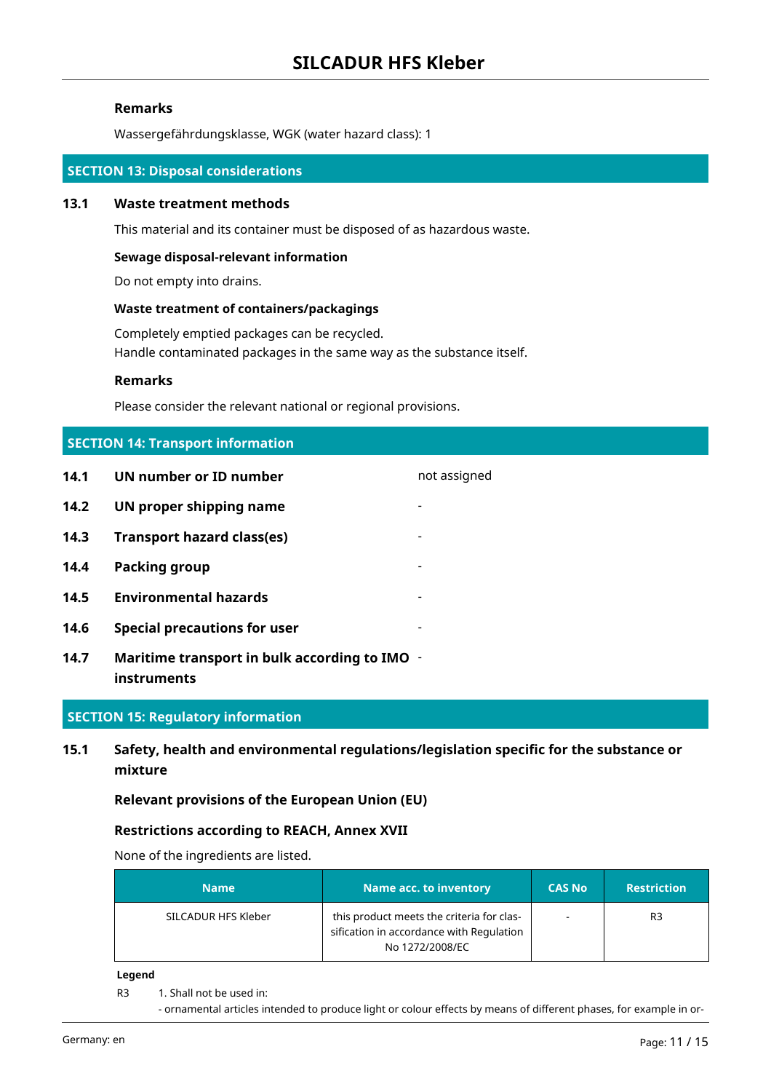#### **Remarks**

Wassergefährdungsklasse, WGK (water hazard class): 1

#### **SECTION 13: Disposal considerations**

#### **13.1 Waste treatment methods**

This material and its container must be disposed of as hazardous waste.

#### **Sewage disposal-relevant information**

Do not empty into drains.

#### **Waste treatment of containers/packagings**

Completely emptied packages can be recycled. Handle contaminated packages in the same way as the substance itself.

#### **Remarks**

Please consider the relevant national or regional provisions.

## **SECTION 14: Transport information**

- **14.1 UN number or ID number not assigned**
- **14.2 UN proper shipping name**
- **14.3 Transport hazard class(es)** -
- **14.4 Packing group** -
- **14.5 Environmental hazards** -
- **14.6 Special precautions for user** -
- **14.7 Maritime transport in bulk according to IMO instruments**

#### **SECTION 15: Regulatory information**

## **15.1 Safety, health and environmental regulations/legislation specific for the substance or mixture**

#### **Relevant provisions of the European Union (EU)**

#### **Restrictions according to REACH, Annex XVII**

None of the ingredients are listed.

| <b>Name</b>         | Name acc. to inventory                                                                                   | <b>CAS No</b> | <b>Restriction</b> |
|---------------------|----------------------------------------------------------------------------------------------------------|---------------|--------------------|
| SILCADUR HFS Kleber | this product meets the criteria for clas-<br>sification in accordance with Regulation<br>No 1272/2008/EC |               | R3                 |

#### **Legend**

- R3 1. Shall not be used in:
	- ornamental articles intended to produce light or colour effects by means of different phases, for example in or-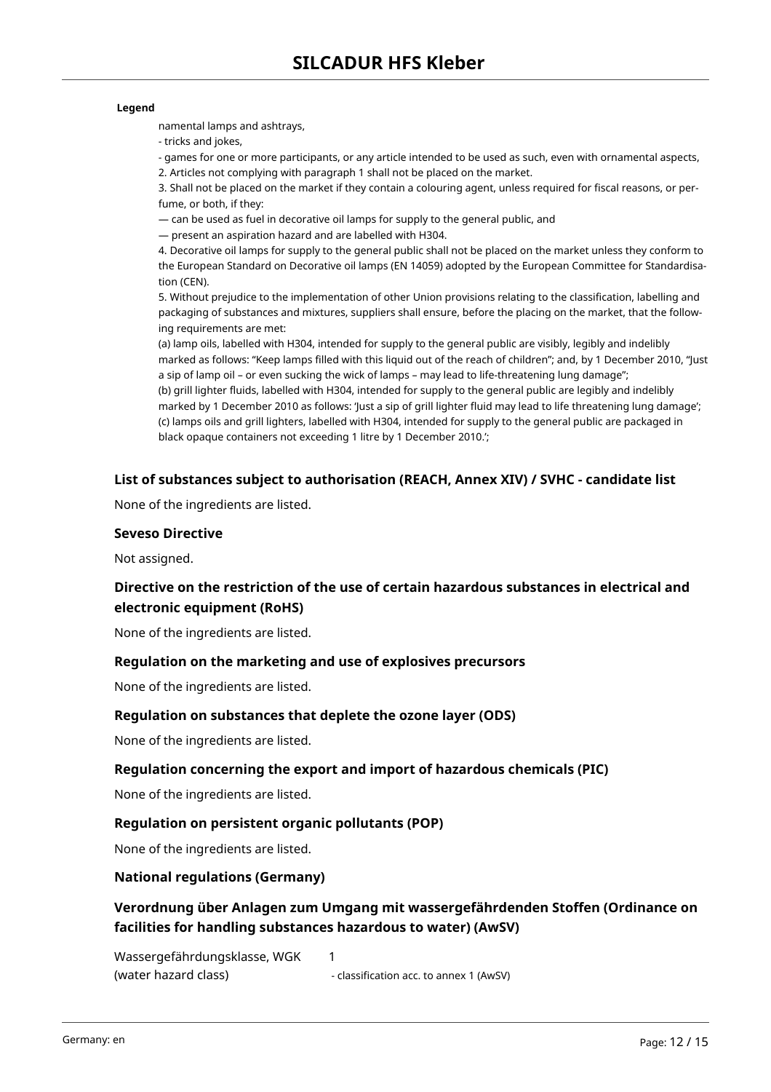#### **Legend**

namental lamps and ashtrays,

- tricks and jokes,

- games for one or more participants, or any article intended to be used as such, even with ornamental aspects, 2. Articles not complying with paragraph 1 shall not be placed on the market.

3. Shall not be placed on the market if they contain a colouring agent, unless required for fiscal reasons, or perfume, or both, if they:

— can be used as fuel in decorative oil lamps for supply to the general public, and

— present an aspiration hazard and are labelled with H304.

4. Decorative oil lamps for supply to the general public shall not be placed on the market unless they conform to the European Standard on Decorative oil lamps (EN 14059) adopted by the European Committee for Standardisation (CEN).

5. Without prejudice to the implementation of other Union provisions relating to the classification, labelling and packaging of substances and mixtures, suppliers shall ensure, before the placing on the market, that the following requirements are met:

(a) lamp oils, labelled with H304, intended for supply to the general public are visibly, legibly and indelibly marked as follows: "Keep lamps filled with this liquid out of the reach of children"; and, by 1 December 2010, "Just a sip of lamp oil – or even sucking the wick of lamps – may lead to life-threatening lung damage";

(b) grill lighter fluids, labelled with H304, intended for supply to the general public are legibly and indelibly marked by 1 December 2010 as follows: 'Just a sip of grill lighter fluid may lead to life threatening lung damage'; (c) lamps oils and grill lighters, labelled with H304, intended for supply to the general public are packaged in black opaque containers not exceeding 1 litre by 1 December 2010.';

## **List of substances subject to authorisation (REACH, Annex XIV) / SVHC - candidate list**

None of the ingredients are listed.

#### **Seveso Directive**

Not assigned.

## **Directive on the restriction of the use of certain hazardous substances in electrical and electronic equipment (RoHS)**

None of the ingredients are listed.

#### **Regulation on the marketing and use of explosives precursors**

None of the ingredients are listed.

#### **Regulation on substances that deplete the ozone layer (ODS)**

None of the ingredients are listed.

#### **Regulation concerning the export and import of hazardous chemicals (PIC)**

None of the ingredients are listed.

#### **Regulation on persistent organic pollutants (POP)**

None of the ingredients are listed.

#### **National regulations (Germany)**

**Verordnung über Anlagen zum Umgang mit wassergefährdenden Stoffen (Ordinance on facilities for handling substances hazardous to water) (AwSV)**

Wassergefährdungsklasse, WGK (water hazard class) 1

- classification acc. to annex 1 (AwSV)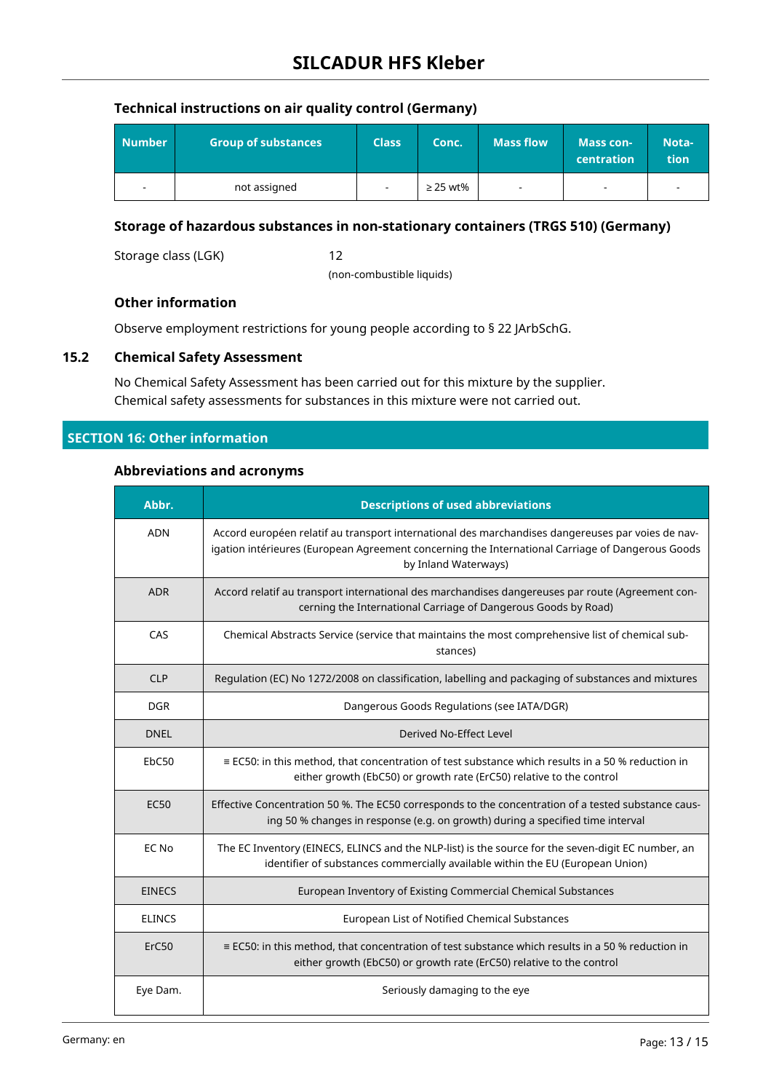## **Technical instructions on air quality control (Germany)**

| <b>Number</b>            | <b>Group of substances</b> | <b>Class</b>             | Conc.         | <b>Mass flow</b> | <b>Mass con-</b><br>centration | Nota-<br>tion |
|--------------------------|----------------------------|--------------------------|---------------|------------------|--------------------------------|---------------|
| $\overline{\phantom{a}}$ | not assigned               | $\overline{\phantom{a}}$ | $\geq$ 25 wt% |                  | $\overline{\phantom{a}}$       |               |

## **Storage of hazardous substances in non-stationary containers (TRGS 510) (Germany)**

Storage class (LGK) 12

(non-combustible liquids)

## **Other information**

Observe employment restrictions for young people according to § 22 JArbSchG.

## **15.2 Chemical Safety Assessment**

No Chemical Safety Assessment has been carried out for this mixture by the supplier. Chemical safety assessments for substances in this mixture were not carried out.

## **SECTION 16: Other information**

#### **Abbreviations and acronyms**

| Abbr.             | <b>Descriptions of used abbreviations</b>                                                                                                                                                                                     |
|-------------------|-------------------------------------------------------------------------------------------------------------------------------------------------------------------------------------------------------------------------------|
| <b>ADN</b>        | Accord européen relatif au transport international des marchandises dangereuses par voies de nav-<br>igation intérieures (European Agreement concerning the International Carriage of Dangerous Goods<br>by Inland Waterways) |
| <b>ADR</b>        | Accord relatif au transport international des marchandises dangereuses par route (Agreement con-<br>cerning the International Carriage of Dangerous Goods by Road)                                                            |
| CAS               | Chemical Abstracts Service (service that maintains the most comprehensive list of chemical sub-<br>stances)                                                                                                                   |
| <b>CLP</b>        | Regulation (EC) No 1272/2008 on classification, labelling and packaging of substances and mixtures                                                                                                                            |
| <b>DGR</b>        | Dangerous Goods Regulations (see IATA/DGR)                                                                                                                                                                                    |
| <b>DNEL</b>       | Derived No-Effect Level                                                                                                                                                                                                       |
| EbC50             | $\equiv$ EC50: in this method, that concentration of test substance which results in a 50 % reduction in<br>either growth (EbC50) or growth rate (ErC50) relative to the control                                              |
| <b>EC50</b>       | Effective Concentration 50 %. The EC50 corresponds to the concentration of a tested substance caus-<br>ing 50 % changes in response (e.g. on growth) during a specified time interval                                         |
| EC No             | The EC Inventory (EINECS, ELINCS and the NLP-list) is the source for the seven-digit EC number, an<br>identifier of substances commercially available within the EU (European Union)                                          |
| <b>EINECS</b>     | European Inventory of Existing Commercial Chemical Substances                                                                                                                                                                 |
| <b>ELINCS</b>     | European List of Notified Chemical Substances                                                                                                                                                                                 |
| ErC <sub>50</sub> | $\equiv$ EC50: in this method, that concentration of test substance which results in a 50 % reduction in<br>either growth (EbC50) or growth rate (ErC50) relative to the control                                              |
| Eye Dam.          | Seriously damaging to the eye                                                                                                                                                                                                 |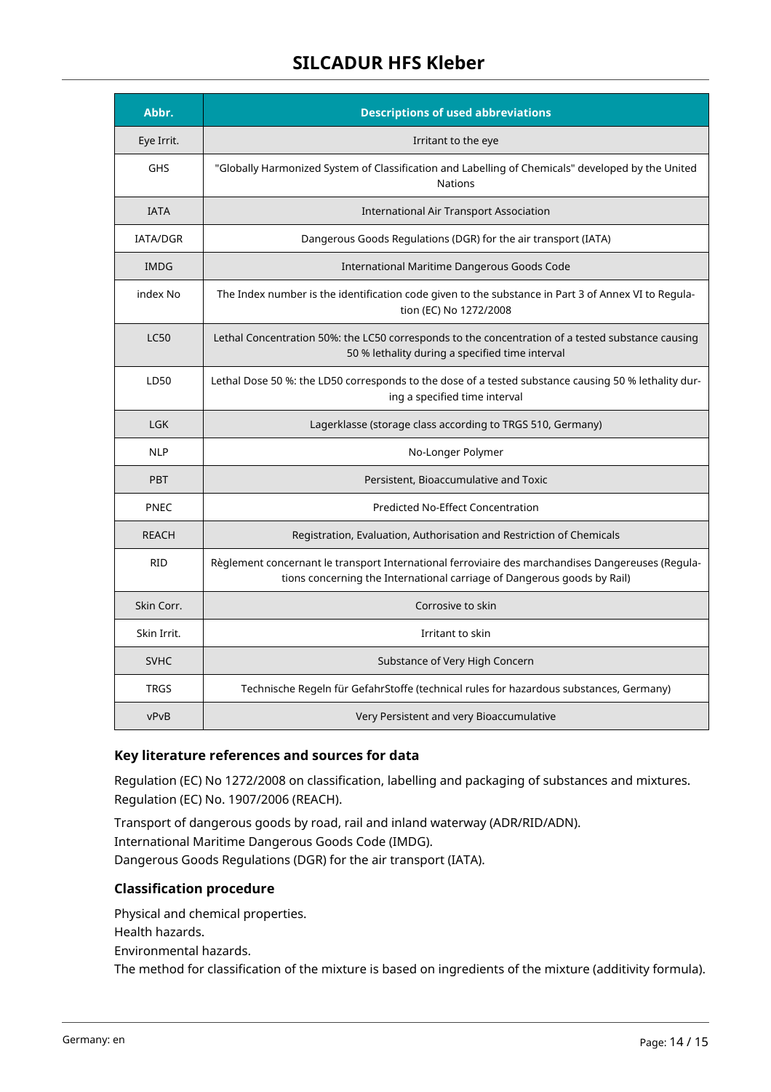# **SILCADUR HFS Kleber**

| Abbr.           | <b>Descriptions of used abbreviations</b>                                                                                                                                    |
|-----------------|------------------------------------------------------------------------------------------------------------------------------------------------------------------------------|
| Eye Irrit.      | Irritant to the eye                                                                                                                                                          |
| <b>GHS</b>      | "Globally Harmonized System of Classification and Labelling of Chemicals" developed by the United<br><b>Nations</b>                                                          |
| <b>IATA</b>     | <b>International Air Transport Association</b>                                                                                                                               |
| <b>IATA/DGR</b> | Dangerous Goods Regulations (DGR) for the air transport (IATA)                                                                                                               |
| <b>IMDG</b>     | International Maritime Dangerous Goods Code                                                                                                                                  |
| index No        | The Index number is the identification code given to the substance in Part 3 of Annex VI to Regula-<br>tion (EC) No 1272/2008                                                |
| <b>LC50</b>     | Lethal Concentration 50%: the LC50 corresponds to the concentration of a tested substance causing<br>50 % lethality during a specified time interval                         |
| LD50            | Lethal Dose 50 %: the LD50 corresponds to the dose of a tested substance causing 50 % lethality dur-<br>ing a specified time interval                                        |
| <b>LGK</b>      | Lagerklasse (storage class according to TRGS 510, Germany)                                                                                                                   |
| <b>NLP</b>      | No-Longer Polymer                                                                                                                                                            |
| <b>PBT</b>      | Persistent, Bioaccumulative and Toxic                                                                                                                                        |
| PNEC            | <b>Predicted No-Effect Concentration</b>                                                                                                                                     |
| <b>REACH</b>    | Registration, Evaluation, Authorisation and Restriction of Chemicals                                                                                                         |
| <b>RID</b>      | Règlement concernant le transport International ferroviaire des marchandises Dangereuses (Regula-<br>tions concerning the International carriage of Dangerous goods by Rail) |
| Skin Corr.      | Corrosive to skin                                                                                                                                                            |
| Skin Irrit.     | Irritant to skin                                                                                                                                                             |
| <b>SVHC</b>     | Substance of Very High Concern                                                                                                                                               |
| <b>TRGS</b>     | Technische Regeln für GefahrStoffe (technical rules for hazardous substances, Germany)                                                                                       |
| vPvB            | Very Persistent and very Bioaccumulative                                                                                                                                     |

## **Key literature references and sources for data**

Regulation (EC) No 1272/2008 on classification, labelling and packaging of substances and mixtures. Regulation (EC) No. 1907/2006 (REACH).

Transport of dangerous goods by road, rail and inland waterway (ADR/RID/ADN). International Maritime Dangerous Goods Code (IMDG). Dangerous Goods Regulations (DGR) for the air transport (IATA).

## **Classification procedure**

Physical and chemical properties. Health hazards. Environmental hazards. The method for classification of the mixture is based on ingredients of the mixture (additivity formula).